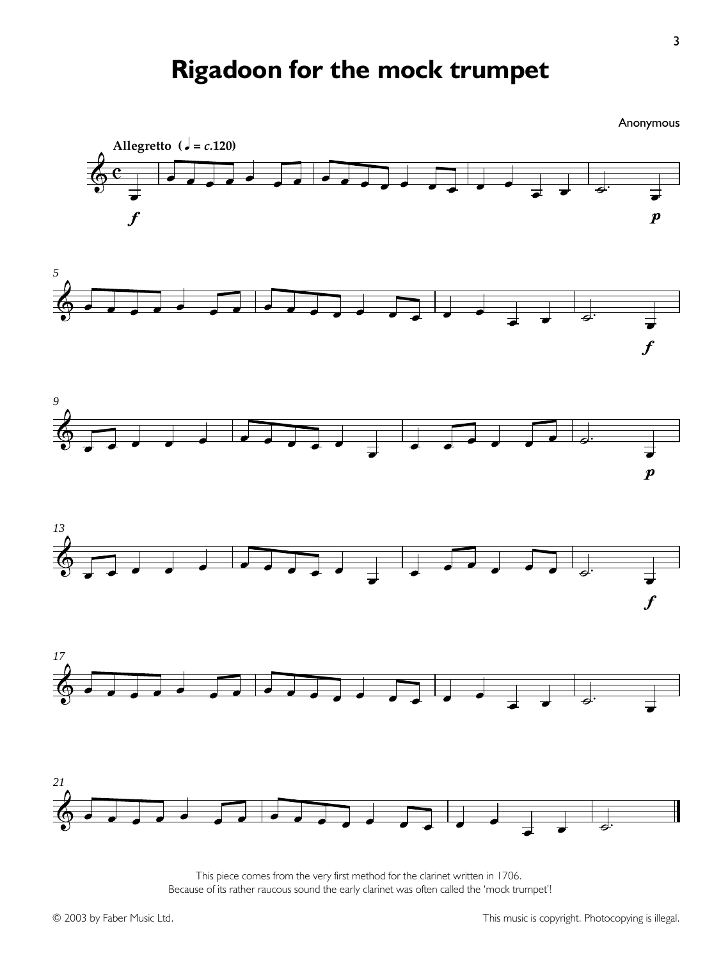## **Rigadoon for the mock trumpet**

Anonymous **Allegretto** ( $\sqrt{ } = c.120$ ) **ESP** <sup>Ï</sup> <sup>Ï</sup> <sup>Ï</sup> <sup>Ï</sup> <sup>Ï</sup> <sup>Ï</sup> <sup>Ï</sup> <sup>Ï</sup> <sup>Ï</sup> <sup>Ï</sup> <sup>Ï</sup> <sup>Ï</sup> <sup>Ï</sup> <sup>Ï</sup> <sup>Ï</sup> <sup>Ï</sup>  $\overline{\mathbf{c}}$  $\frac{1}{\epsilon}$   $\frac{1}{\epsilon}$ Ï p Ï f *5* <u>@ d d d d d d d d d d d d d d d d d d</u>  $\frac{1}{\epsilon}$   $\frac{1}{\epsilon}$ Ï f *9*  $\frac{1}{2}$ Ï Ï Ï Ï Ï Ï ú. **d** J<br>P *13* & <sup>Ï</sup> <sup>Ï</sup> <sup>Ï</sup> <sup>Ï</sup> <sup>Ï</sup> <sup>Ï</sup> <sup>Ï</sup> <sup>Ï</sup> <sup>Ï</sup> <sup>Ï</sup> Ï Ï Ï Ï Ï Ï ú. **d** Ï f *17* & <sup>Ï</sup> <sup>Ï</sup> <sup>Ï</sup> <sup>Ï</sup> <sup>Ï</sup> <sup>Ï</sup> <sup>Ï</sup> <sup>Ï</sup> <sup>Ï</sup> <sup>Ï</sup> <sup>Ï</sup> <sup>Ï</sup> <sup>Ï</sup> <sup>Ï</sup> <sup>Ï</sup> <sup>Ï</sup>  $\overrightarrow{a}$   $\overrightarrow{b}$   $\overrightarrow{d}$ *21*  $\mathbf{H}$ & <sup>Ï</sup> <sup>Ï</sup> <sup>Ï</sup> <sup>Ï</sup> <sup>Ï</sup> <sup>Ï</sup> <sup>Ï</sup> <sup>Ï</sup> <sup>Ï</sup> <sup>Ï</sup> <sup>Ï</sup> <sup>Ï</sup> <sup>Ï</sup> <sup>Ï</sup> <sup>Ï</sup> <sup>Ï</sup>  $\frac{1}{\epsilon}$   $\frac{1}{\epsilon}$ 

> This piece comes from the very first method for the clarinet written in 1706. Because of its rather raucous sound the early clarinet was often called the 'mock trumpet'!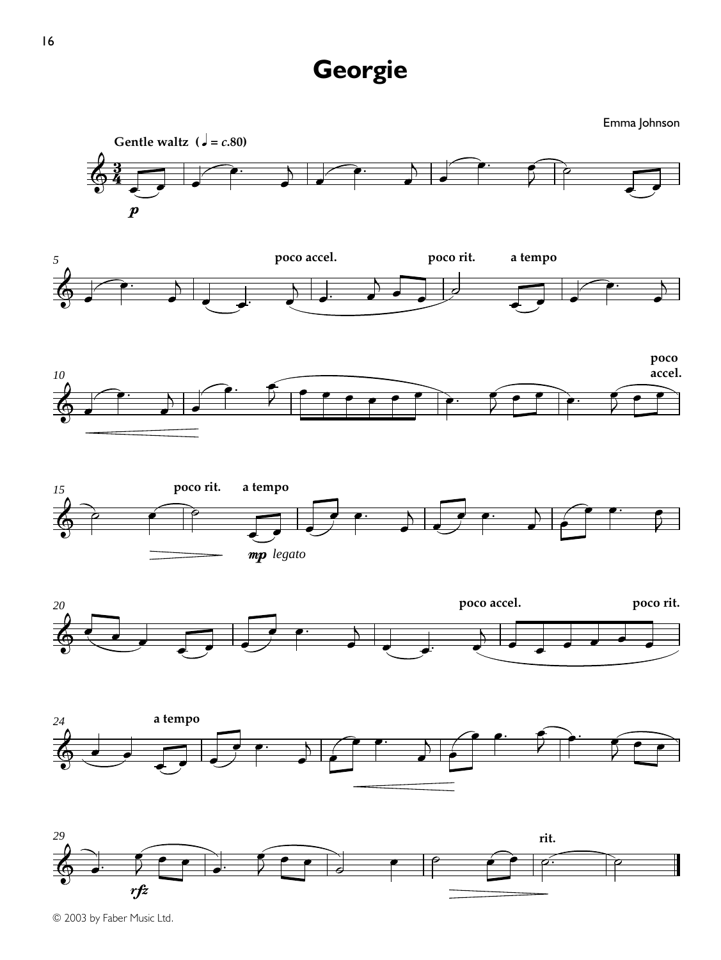## **Georgie**

Emma Johnson















© 2003 by Faber Music Ltd.